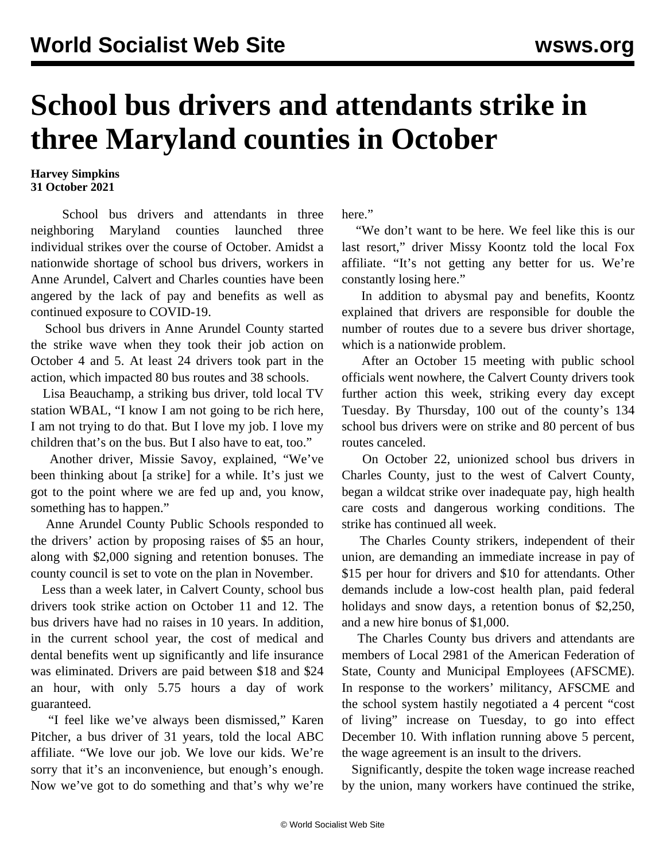## **School bus drivers and attendants strike in three Maryland counties in October**

## **Harvey Simpkins 31 October 2021**

 School bus drivers and attendants in three neighboring Maryland counties launched three individual strikes over the course of October. Amidst a nationwide shortage of school bus drivers, workers in Anne Arundel, Calvert and Charles counties have been angered by the lack of pay and benefits as well as continued exposure to COVID-19.

 School bus drivers in Anne Arundel County started the strike wave when they took their job action on October 4 and 5. At least 24 drivers took part in the action, which impacted 80 bus routes and 38 schools.

 Lisa Beauchamp, a striking bus driver, told local TV station WBAL, "I know I am not going to be rich here, I am not trying to do that. But I love my job. I love my children that's on the bus. But I also have to eat, too."

 Another driver, Missie Savoy, explained, "We've been thinking about [a strike] for a while. It's just we got to the point where we are fed up and, you know, something has to happen."

 Anne Arundel County Public Schools responded to the drivers' action by proposing raises of \$5 an hour, along with \$2,000 signing and retention bonuses. The county council is set to vote on the plan in November.

 Less than a week later, in Calvert County, school bus drivers took strike action on October 11 and 12. The bus drivers have had no raises in 10 years. In addition, in the current school year, the cost of medical and dental benefits went up significantly and life insurance was eliminated. Drivers are paid between \$18 and \$24 an hour, with only 5.75 hours a day of work guaranteed.

 "I feel like we've always been dismissed," Karen Pitcher, a bus driver of 31 years, told the local ABC affiliate. "We love our job. We love our kids. We're sorry that it's an inconvenience, but enough's enough. Now we've got to do something and that's why we're here."

 "We don't want to be here. We feel like this is our last resort," driver Missy Koontz told the local Fox affiliate. "It's not getting any better for us. We're constantly losing here."

 In addition to abysmal pay and benefits, Koontz explained that drivers are responsible for double the number of routes due to a severe bus driver shortage, which is a [nationwide](/en/articles/2021/09/15/schl-s15.html) problem.

 After an October 15 meeting with public school officials went nowhere, the Calvert County drivers took further action this week, striking every day except Tuesday. By Thursday, 100 out of the county's 134 school bus drivers were on strike and 80 percent of bus routes canceled.

 On October 22, unionized school bus drivers in Charles County, just to the west of Calvert County, began a wildcat strike over inadequate pay, high health care costs and dangerous working conditions. The strike has continued all week.

 The Charles County strikers, independent of their union, are demanding an immediate increase in pay of \$15 per hour for drivers and \$10 for attendants. Other demands include a low-cost health plan, paid federal holidays and snow days, a retention bonus of \$2,250, and a new hire bonus of \$1,000.

 The Charles County bus drivers and attendants are members of Local 2981 of the American Federation of State, County and Municipal Employees (AFSCME). In response to the workers' militancy, AFSCME and the school system hastily negotiated a 4 percent "cost of living" increase on Tuesday, to go into effect December 10. With inflation running above 5 percent, the wage agreement is an insult to the drivers.

 Significantly, despite the token wage increase reached by the union, many workers have continued the strike,